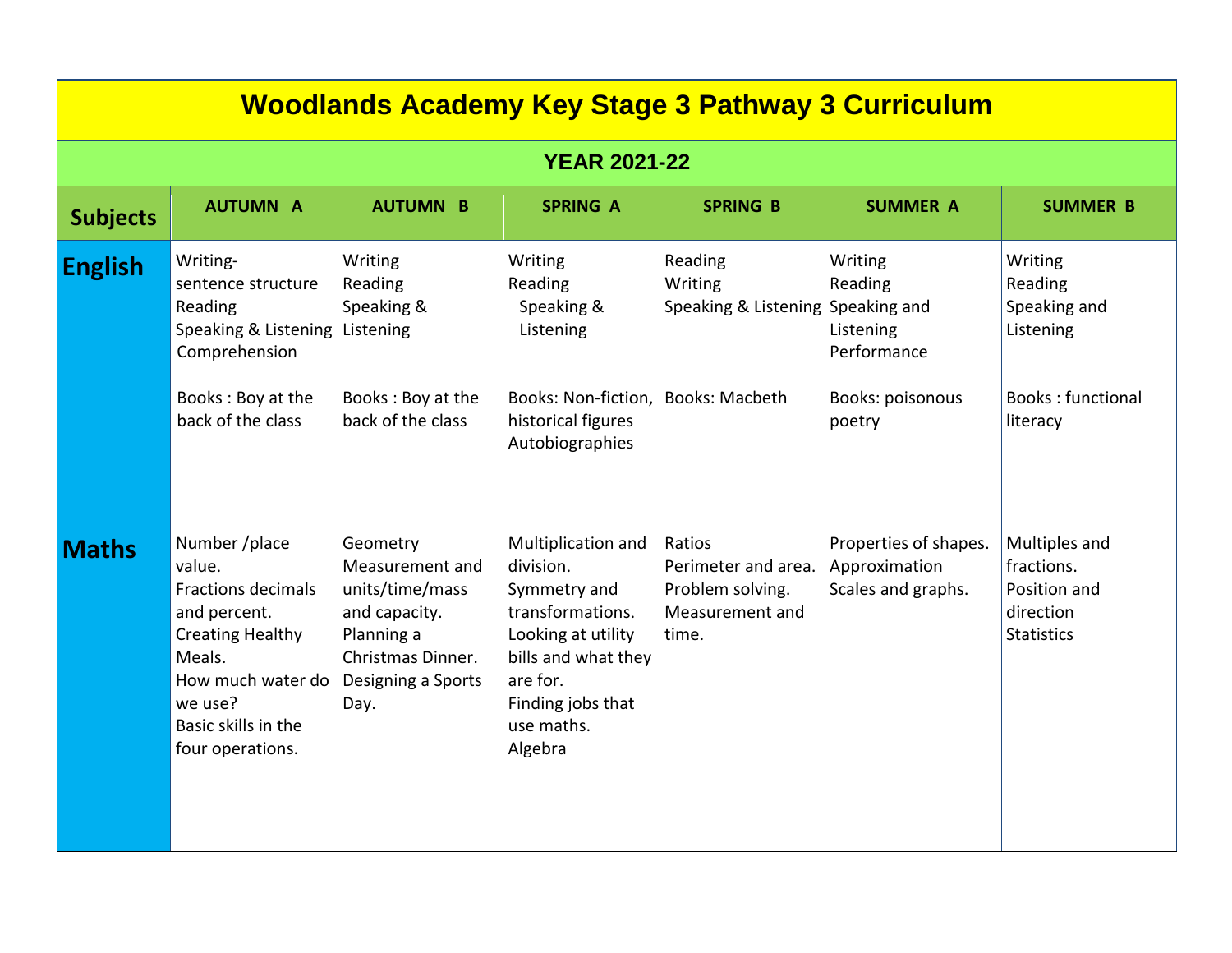| <u>Woodlands Academy Key Stage 3 Pathway 3 Curriculum</u> |                                                                                                                                                                                      |                                                                                                                                  |                                                                                                                                                                            |                                                                               |                                                                                              |                                                                                         |  |  |
|-----------------------------------------------------------|--------------------------------------------------------------------------------------------------------------------------------------------------------------------------------------|----------------------------------------------------------------------------------------------------------------------------------|----------------------------------------------------------------------------------------------------------------------------------------------------------------------------|-------------------------------------------------------------------------------|----------------------------------------------------------------------------------------------|-----------------------------------------------------------------------------------------|--|--|
| <b>YEAR 2021-22</b>                                       |                                                                                                                                                                                      |                                                                                                                                  |                                                                                                                                                                            |                                                                               |                                                                                              |                                                                                         |  |  |
| <b>Subjects</b>                                           | <b>AUTUMN A</b>                                                                                                                                                                      | <b>AUTUMN B</b>                                                                                                                  | <b>SPRING A</b>                                                                                                                                                            | <b>SPRING B</b>                                                               | <b>SUMMER A</b>                                                                              | <b>SUMMER B</b>                                                                         |  |  |
| <b>English</b>                                            | Writing-<br>sentence structure<br>Reading<br>Speaking & Listening<br>Comprehension<br>Books: Boy at the<br>back of the class                                                         | Writing<br>Reading<br>Speaking &<br>Listening<br>Books: Boy at the<br>back of the class                                          | Writing<br>Reading<br>Speaking &<br>Listening<br>Books: Non-fiction,<br>historical figures<br>Autobiographies                                                              | Reading<br>Writing<br>Speaking & Listening<br><b>Books: Macbeth</b>           | Writing<br>Reading<br>Speaking and<br>Listening<br>Performance<br>Books: poisonous<br>poetry | Writing<br>Reading<br>Speaking and<br>Listening<br><b>Books: functional</b><br>literacy |  |  |
| <b>Maths</b>                                              | Number /place<br>value.<br><b>Fractions decimals</b><br>and percent.<br><b>Creating Healthy</b><br>Meals.<br>How much water do<br>we use?<br>Basic skills in the<br>four operations. | Geometry<br>Measurement and<br>units/time/mass<br>and capacity.<br>Planning a<br>Christmas Dinner.<br>Designing a Sports<br>Day. | Multiplication and<br>division.<br>Symmetry and<br>transformations.<br>Looking at utility<br>bills and what they<br>are for.<br>Finding jobs that<br>use maths.<br>Algebra | Ratios<br>Perimeter and area.<br>Problem solving.<br>Measurement and<br>time. | Properties of shapes.<br>Approximation<br>Scales and graphs.                                 | Multiples and<br>fractions.<br>Position and<br>direction<br><b>Statistics</b>           |  |  |

**Woodlands Academy Key Stage 3 Pathway 3 Curriculum**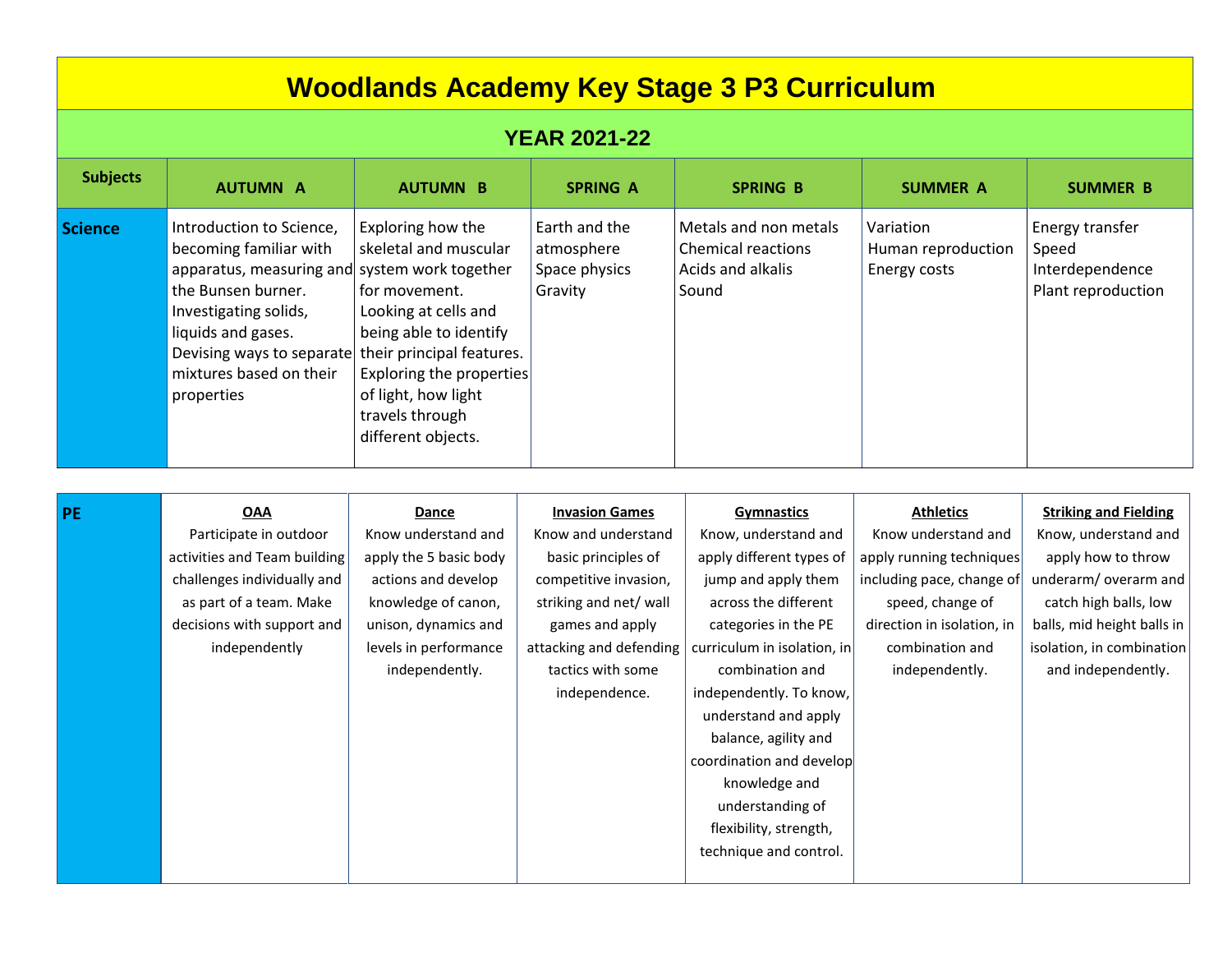| <b>Woodlands Academy Key Stage 3 P3 Curriculum</b> |                                                                                                                                                                                                                                                |                                                                                                                                                                                                                                        |                                                                                                                                                                                                            |                                                                                                                                                                                                                                                                                                                                                                                                |                                                                                                                                                                                         |                                                                                                                                                                                                               |  |
|----------------------------------------------------|------------------------------------------------------------------------------------------------------------------------------------------------------------------------------------------------------------------------------------------------|----------------------------------------------------------------------------------------------------------------------------------------------------------------------------------------------------------------------------------------|------------------------------------------------------------------------------------------------------------------------------------------------------------------------------------------------------------|------------------------------------------------------------------------------------------------------------------------------------------------------------------------------------------------------------------------------------------------------------------------------------------------------------------------------------------------------------------------------------------------|-----------------------------------------------------------------------------------------------------------------------------------------------------------------------------------------|---------------------------------------------------------------------------------------------------------------------------------------------------------------------------------------------------------------|--|
| <b>YEAR 2021-22</b>                                |                                                                                                                                                                                                                                                |                                                                                                                                                                                                                                        |                                                                                                                                                                                                            |                                                                                                                                                                                                                                                                                                                                                                                                |                                                                                                                                                                                         |                                                                                                                                                                                                               |  |
| <b>Subjects</b>                                    | <b>AUTUMN A</b>                                                                                                                                                                                                                                | <b>AUTUMN B</b>                                                                                                                                                                                                                        | <b>SPRING A</b>                                                                                                                                                                                            | <b>SPRING B</b>                                                                                                                                                                                                                                                                                                                                                                                | <b>SUMMER A</b>                                                                                                                                                                         | <b>SUMMER B</b>                                                                                                                                                                                               |  |
| <b>Science</b>                                     | Introduction to Science,<br>becoming familiar with<br>apparatus, measuring and system work together<br>the Bunsen burner.<br>Investigating solids,<br>liquids and gases.<br>Devising ways to separate<br>mixtures based on their<br>properties | Exploring how the<br>skeletal and muscular<br>for movement.<br>Looking at cells and<br>being able to identify<br>their principal features.<br>Exploring the properties<br>of light, how light<br>travels through<br>different objects. | Earth and the<br>atmosphere<br>Space physics<br>Gravity                                                                                                                                                    | Metals and non metals<br><b>Chemical reactions</b><br><b>Acids and alkalis</b><br>Sound                                                                                                                                                                                                                                                                                                        | Variation<br>Human reproduction<br>Energy costs                                                                                                                                         | Energy transfer<br>Speed<br>Interdependence<br>Plant reproduction                                                                                                                                             |  |
| <b>PE</b>                                          | <b>OAA</b><br>Participate in outdoor<br>activities and Team building<br>challenges individually and<br>as part of a team. Make<br>decisions with support and<br>independently                                                                  | Dance<br>Know understand and<br>apply the 5 basic body<br>actions and develop<br>knowledge of canon,<br>unison, dynamics and<br>levels in performance<br>independently.                                                                | <b>Invasion Games</b><br>Know and understand<br>basic principles of<br>competitive invasion,<br>striking and net/ wall<br>games and apply<br>attacking and defending<br>tactics with some<br>independence. | <b>Gymnastics</b><br>Know, understand and<br>apply different types of<br>jump and apply them<br>across the different<br>categories in the PE<br>curriculum in isolation, in<br>combination and<br>independently. To know,<br>understand and apply<br>balance, agility and<br>coordination and develop<br>knowledge and<br>understanding of<br>flexibility, strength,<br>technique and control. | <b>Athletics</b><br>Know understand and<br>apply running techniques<br>including pace, change of<br>speed, change of<br>direction in isolation, in<br>combination and<br>independently. | <b>Striking and Fielding</b><br>Know, understand and<br>apply how to throw<br>underarm/ overarm and<br>catch high balls, low<br>balls, mid height balls in<br>isolation, in combination<br>and independently. |  |